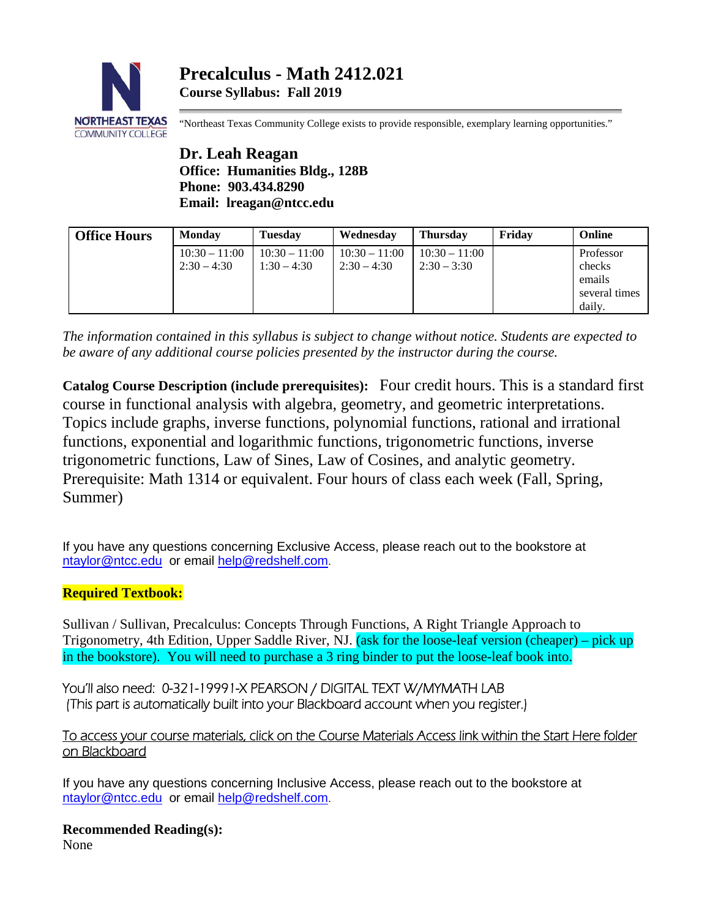

"Northeast Texas Community College exists to provide responsible, exemplary learning opportunities."

**Dr. Leah Reagan Office: Humanities Bldg., 128B Phone: 903.434.8290 Email: lreagan@ntcc.edu**

| <b>Office Hours</b> | Monday          | <b>Tuesday</b>  | Wednesday       | <b>Thursday</b> | Fridav | Online        |
|---------------------|-----------------|-----------------|-----------------|-----------------|--------|---------------|
|                     | $10:30 - 11:00$ | $10:30 - 11:00$ | $10:30 - 11:00$ | $10:30 - 11:00$ |        | Professor     |
|                     | $2:30 - 4:30$   | $1:30 - 4:30$   | $2:30 - 4:30$   | $2:30 - 3:30$   |        | checks        |
|                     |                 |                 |                 |                 |        | emails        |
|                     |                 |                 |                 |                 |        | several times |
|                     |                 |                 |                 |                 |        | daily.        |

*The information contained in this syllabus is subject to change without notice. Students are expected to be aware of any additional course policies presented by the instructor during the course.*

**Catalog Course Description (include prerequisites):** Four credit hours. This is a standard first course in functional analysis with algebra, geometry, and geometric interpretations. Topics include graphs, inverse functions, polynomial functions, rational and irrational functions, exponential and logarithmic functions, trigonometric functions, inverse trigonometric functions, Law of Sines, Law of Cosines, and analytic geometry. Prerequisite: Math 1314 or equivalent. Four hours of class each week (Fall, Spring, Summer)

If you have any questions concerning Exclusive Access, please reach out to the bookstore at [ntaylor@ntcc.edu](mailto:ntaylor@ntcc.edu) or email [help@redshelf.com.](mailto:help@redshelf.com)

## **Required Textbook:**

Sullivan / Sullivan, Precalculus: Concepts Through Functions, A Right Triangle Approach to Trigonometry, 4th Edition, Upper Saddle River, NJ. (ask for the loose-leaf version (cheaper) – pick up in the bookstore). You will need to purchase a 3 ring binder to put the loose-leaf book into.

You'll also need: 0-321-19991-X PEARSON / DIGITAL TEXT W/MYMATH LAB (This part is automatically built into your Blackboard account when you register.)

## To access your course materials, click on the Course Materials Access link within the Start Here folder on Blackboard

If you have any questions concerning Inclusive Access, please reach out to the bookstore at [ntaylor@ntcc.edu](mailto:ntaylor@ntcc.edu) or email [help@redshelf.com.](mailto:help@redshelf.com)

**Recommended Reading(s):**

None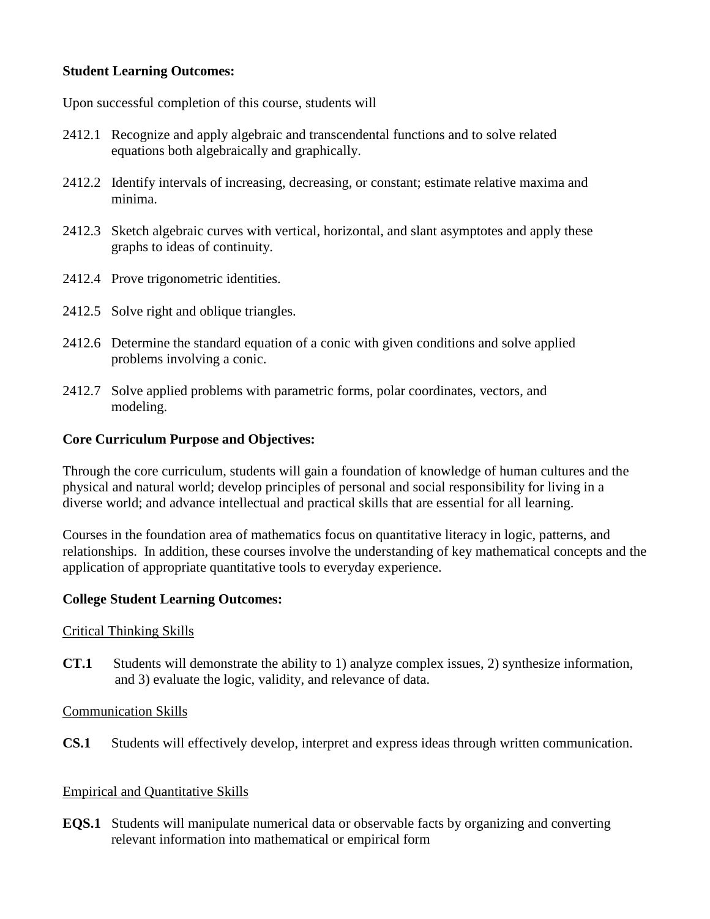## **Student Learning Outcomes:**

Upon successful completion of this course, students will

- 2412.1 Recognize and apply algebraic and transcendental functions and to solve related equations both algebraically and graphically.
- 2412.2 Identify intervals of increasing, decreasing, or constant; estimate relative maxima and minima.
- 2412.3 Sketch algebraic curves with vertical, horizontal, and slant asymptotes and apply these graphs to ideas of continuity.
- 2412.4 Prove trigonometric identities.
- 2412.5 Solve right and oblique triangles.
- 2412.6 Determine the standard equation of a conic with given conditions and solve applied problems involving a conic.
- 2412.7 Solve applied problems with parametric forms, polar coordinates, vectors, and modeling.

## **Core Curriculum Purpose and Objectives:**

Through the core curriculum, students will gain a foundation of knowledge of human cultures and the physical and natural world; develop principles of personal and social responsibility for living in a diverse world; and advance intellectual and practical skills that are essential for all learning.

Courses in the foundation area of mathematics focus on quantitative literacy in logic, patterns, and relationships. In addition, these courses involve the understanding of key mathematical concepts and the application of appropriate quantitative tools to everyday experience.

## **College Student Learning Outcomes:**

## Critical Thinking Skills

**CT.1** Students will demonstrate the ability to 1) analyze complex issues, 2) synthesize information, and 3) evaluate the logic, validity, and relevance of data.

Communication Skills

**CS.1** Students will effectively develop, interpret and express ideas through written communication.

## Empirical and Quantitative Skills

**EQS.1** Students will manipulate numerical data or observable facts by organizing and converting relevant information into mathematical or empirical form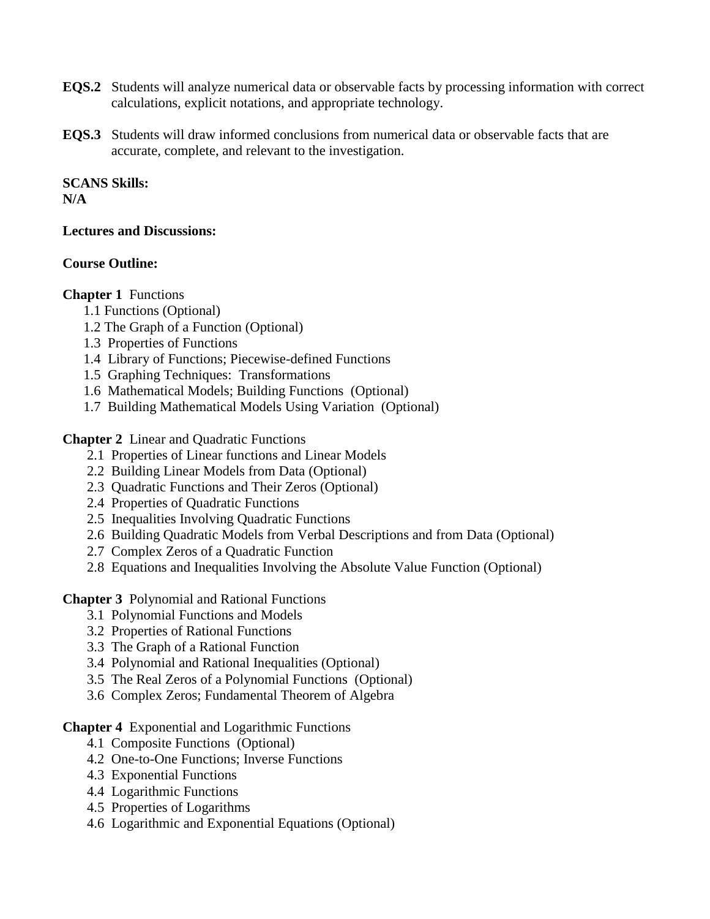- **EQS.2** Students will analyze numerical data or observable facts by processing information with correct calculations, explicit notations, and appropriate technology.
- **EQS.3** Students will draw informed conclusions from numerical data or observable facts that are accurate, complete, and relevant to the investigation.

# **SCANS Skills:**

## **N/A**

## **Lectures and Discussions:**

## **Course Outline:**

## **Chapter 1** Functions

- 1.1 Functions (Optional)
- 1.2 The Graph of a Function (Optional)
- 1.3 Properties of Functions
- 1.4 Library of Functions; Piecewise-defined Functions
- 1.5 Graphing Techniques: Transformations
- 1.6 Mathematical Models; Building Functions (Optional)
- 1.7 Building Mathematical Models Using Variation (Optional)

**Chapter 2** Linear and Quadratic Functions

- 2.1 Properties of Linear functions and Linear Models
- 2.2 Building Linear Models from Data (Optional)
- 2.3 Quadratic Functions and Their Zeros (Optional)
- 2.4 Properties of Quadratic Functions
- 2.5 Inequalities Involving Quadratic Functions
- 2.6 Building Quadratic Models from Verbal Descriptions and from Data (Optional)
- 2.7 Complex Zeros of a Quadratic Function
- 2.8 Equations and Inequalities Involving the Absolute Value Function (Optional)

**Chapter 3** Polynomial and Rational Functions

- 3.1 Polynomial Functions and Models
- 3.2 Properties of Rational Functions
- 3.3 The Graph of a Rational Function
- 3.4 Polynomial and Rational Inequalities (Optional)
- 3.5 The Real Zeros of a Polynomial Functions (Optional)
- 3.6 Complex Zeros; Fundamental Theorem of Algebra

**Chapter 4** Exponential and Logarithmic Functions

- 4.1 Composite Functions (Optional)
- 4.2 One-to-One Functions; Inverse Functions
- 4.3 Exponential Functions
- 4.4 Logarithmic Functions
- 4.5 Properties of Logarithms
- 4.6 Logarithmic and Exponential Equations (Optional)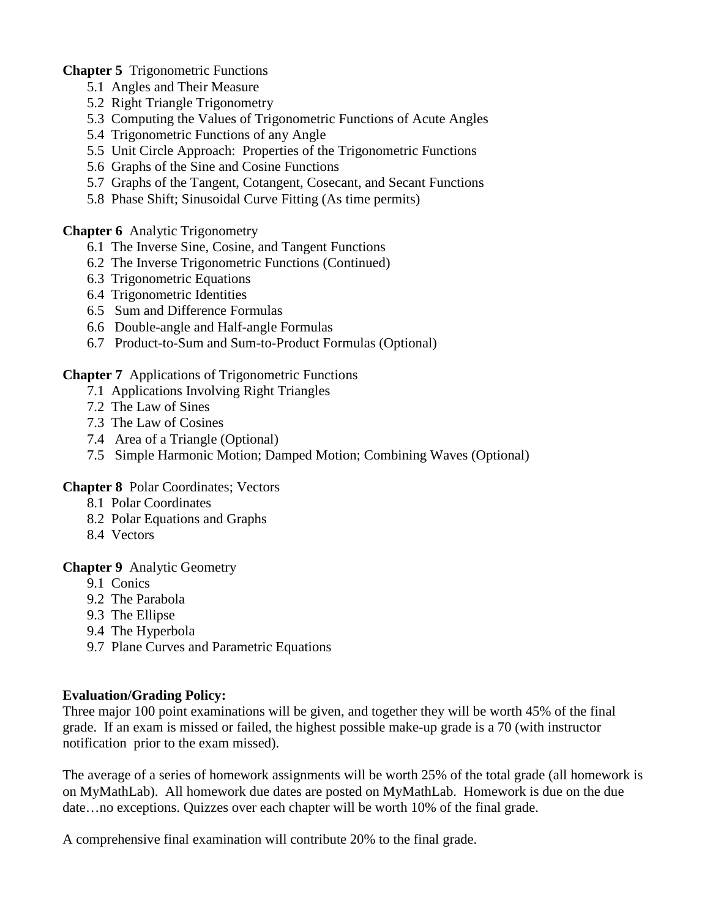**Chapter 5** Trigonometric Functions

- 5.1 Angles and Their Measure
- 5.2 Right Triangle Trigonometry
- 5.3 Computing the Values of Trigonometric Functions of Acute Angles
- 5.4 Trigonometric Functions of any Angle
- 5.5 Unit Circle Approach: Properties of the Trigonometric Functions
- 5.6 Graphs of the Sine and Cosine Functions
- 5.7 Graphs of the Tangent, Cotangent, Cosecant, and Secant Functions
- 5.8 Phase Shift; Sinusoidal Curve Fitting (As time permits)

**Chapter 6** Analytic Trigonometry

- 6.1 The Inverse Sine, Cosine, and Tangent Functions
- 6.2 The Inverse Trigonometric Functions (Continued)
- 6.3 Trigonometric Equations
- 6.4 Trigonometric Identities
- 6.5 Sum and Difference Formulas
- 6.6 Double-angle and Half-angle Formulas
- 6.7 Product-to-Sum and Sum-to-Product Formulas (Optional)

**Chapter 7** Applications of Trigonometric Functions

- 7.1 Applications Involving Right Triangles
- 7.2 The Law of Sines
- 7.3 The Law of Cosines
- 7.4 Area of a Triangle (Optional)
- 7.5 Simple Harmonic Motion; Damped Motion; Combining Waves (Optional)

**Chapter 8** Polar Coordinates; Vectors

- 8.1 Polar Coordinates
- 8.2 Polar Equations and Graphs
- 8.4 Vectors

**Chapter 9** Analytic Geometry

- 9.1 Conics
- 9.2 The Parabola
- 9.3 The Ellipse
- 9.4 The Hyperbola
- 9.7 Plane Curves and Parametric Equations

## **Evaluation/Grading Policy:**

Three major 100 point examinations will be given, and together they will be worth 45% of the final grade. If an exam is missed or failed, the highest possible make-up grade is a 70 (with instructor notification prior to the exam missed).

The average of a series of homework assignments will be worth 25% of the total grade (all homework is on MyMathLab). All homework due dates are posted on MyMathLab. Homework is due on the due date…no exceptions. Quizzes over each chapter will be worth 10% of the final grade.

A comprehensive final examination will contribute 20% to the final grade.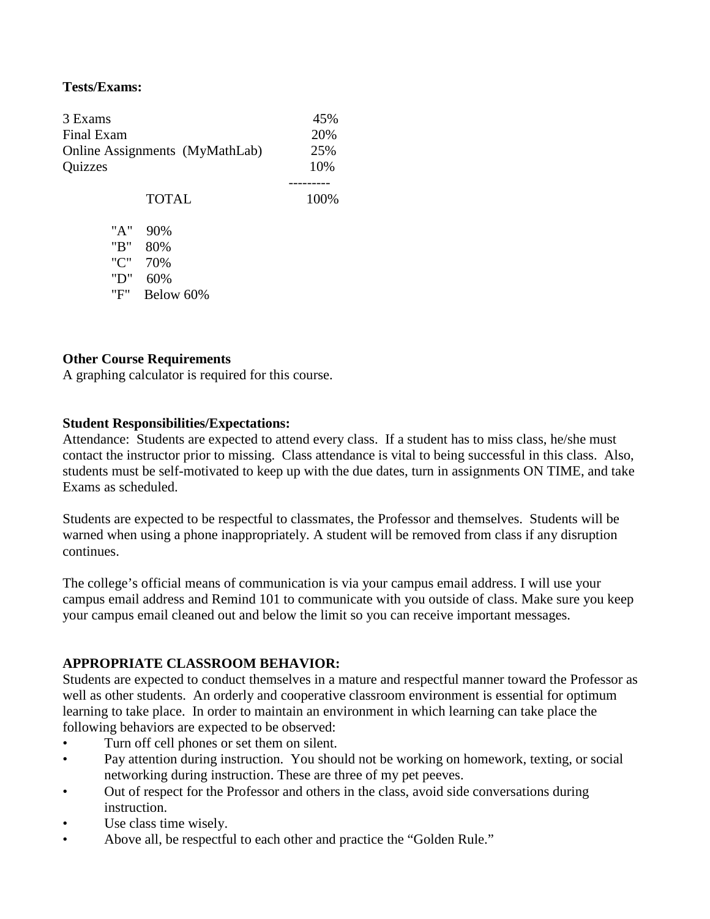#### **Tests/Exams:**

| 3 Exams                        | 45%  |  |
|--------------------------------|------|--|
| Final Exam                     | 20%  |  |
| Online Assignments (MyMathLab) | 25%  |  |
| Quizzes                        | 10%  |  |
| <b>TOTAL</b>                   | 100% |  |

 "A" 90% "B" 80% "C" 70% "D" 60% "F" Below 60%

#### **Other Course Requirements**

A graphing calculator is required for this course.

#### **Student Responsibilities/Expectations:**

Attendance: Students are expected to attend every class. If a student has to miss class, he/she must contact the instructor prior to missing. Class attendance is vital to being successful in this class. Also, students must be self-motivated to keep up with the due dates, turn in assignments ON TIME, and take Exams as scheduled.

Students are expected to be respectful to classmates, the Professor and themselves. Students will be warned when using a phone inappropriately. A student will be removed from class if any disruption continues.

The college's official means of communication is via your campus email address. I will use your campus email address and Remind 101 to communicate with you outside of class. Make sure you keep your campus email cleaned out and below the limit so you can receive important messages.

#### **APPROPRIATE CLASSROOM BEHAVIOR:**

Students are expected to conduct themselves in a mature and respectful manner toward the Professor as well as other students. An orderly and cooperative classroom environment is essential for optimum learning to take place. In order to maintain an environment in which learning can take place the following behaviors are expected to be observed:

- Turn off cell phones or set them on silent.
- Pay attention during instruction. You should not be working on homework, texting, or social networking during instruction. These are three of my pet peeves.
- Out of respect for the Professor and others in the class, avoid side conversations during instruction.
- Use class time wisely.
- Above all, be respectful to each other and practice the "Golden Rule."